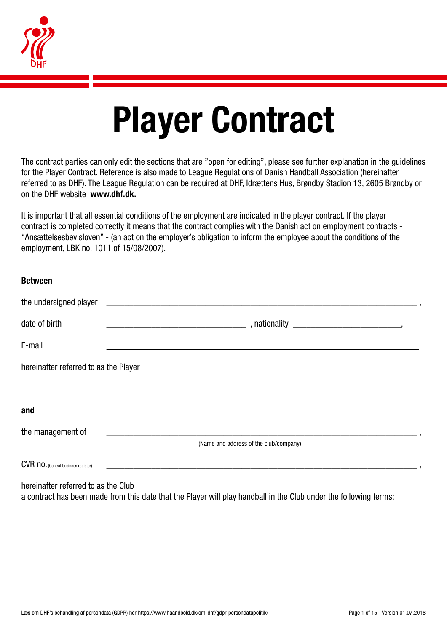

# Player Contract

The contract parties can only edit the sections that are "open for editing", please see further explanation in the guidelines for the Player Contract. Reference is also made to League Regulations of Danish Handball Association (hereinafter referred to as DHF). The League Regulation can be required at DHF, Idrættens Hus, Brøndby Stadion 13, 2605 Brøndby or on the DHF website www.dhf.dk.

It is important that all essential conditions of the employment are indicated in the player contract. If the player contract is completed correctly it means that the contract complies with the Danish act on employment contracts - "Ansættelsesbevisloven" - (an act on the employer's obligation to inform the employee about the conditions of the employment, LBK no. 1011 of 15/08/2007).

| <b>Between</b>                        |                                                                                                                  |
|---------------------------------------|------------------------------------------------------------------------------------------------------------------|
| the undersigned player                | <u> 1980 - Andrea Andrewski, fransk politik (d. 1980)</u>                                                        |
| date of birth                         |                                                                                                                  |
| E-mail                                |                                                                                                                  |
| hereinafter referred to as the Player |                                                                                                                  |
|                                       |                                                                                                                  |
| and                                   |                                                                                                                  |
| the management of                     | and the control of the control of the control of the control of the control of the control of the control of the |
|                                       | (Name and address of the club/company)                                                                           |
| CVR no. (Central business register)   |                                                                                                                  |

hereinafter referred to as the Club a contract has been made from this date that the Player will play handball in the Club under the following terms: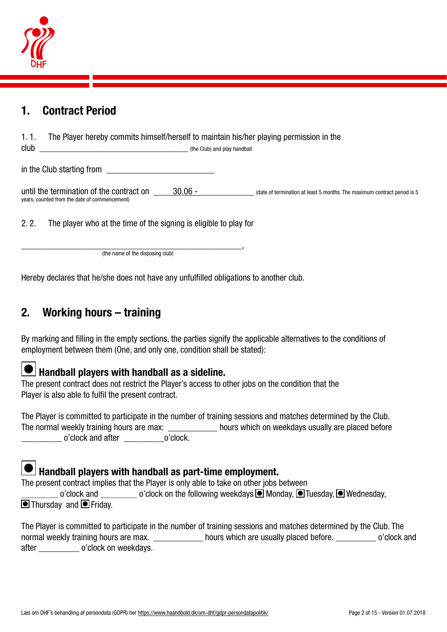

## 1. Contract Period

| The Player hereby commits himself/herself to maintain his/her playing permission in the<br>1.1.<br>club | (the Club) and play handball |                                                                          |
|---------------------------------------------------------------------------------------------------------|------------------------------|--------------------------------------------------------------------------|
| in the Club starting from                                                                               |                              |                                                                          |
| until the termination of the contract on<br>years, counted from the date of commencement)               | $30.06 -$                    | (date of termination at least 5 months. The maximum contract period is 5 |

2. 2. The player who at the time of the signing is eligible to play for

\_\_\_\_\_\_\_\_\_\_\_\_\_\_\_\_\_\_\_\_\_\_\_\_\_\_\_\_\_\_\_\_\_\_\_\_\_\_\_\_\_\_\_\_\_\_\_\_\_, (the name of the disposing club)

Hereby declares that he/she does not have any unfulfilled obligations to another club.

# 2. Working hours – training

By marking and filling in the empty sections, the parties signify the applicable alternatives to the conditions of employment between them (One, and only one, condition shall be stated):

# $\bullet$  Handball players with handball as a sideline.

The present contract does not restrict the Player's access to other jobs on the condition that the Player is also able to fulfil the present contract.

The Player is committed to participate in the number of training sessions and matches determined by the Club. The normal weekly training hours are max: \_\_\_\_\_\_\_\_\_\_\_\_\_\_ hours which on weekdays usually are placed before \_\_\_\_\_\_\_\_\_ o'clock and after \_\_\_\_\_\_\_\_\_o'clock.

# $\Box$  Handball players with handball as part-time employment.

The present contract implies that the Player is only able to take on other jobs between

o'clock and  $\Box$  o'clock on the following weekdays  $\Box$  Monday,  $\Box$  Tuesday,  $\Box$  Wednesday,  $\bullet$  Thursday and  $\bullet$  Friday.

The Player is committed to participate in the number of training sessions and matches determined by the Club. The normal weekly training hours are max. \_\_\_\_\_\_\_\_\_\_\_\_\_\_ hours which are usually placed before. \_\_\_\_\_\_\_\_\_\_\_\_ o'clock and after o'clock on weekdays.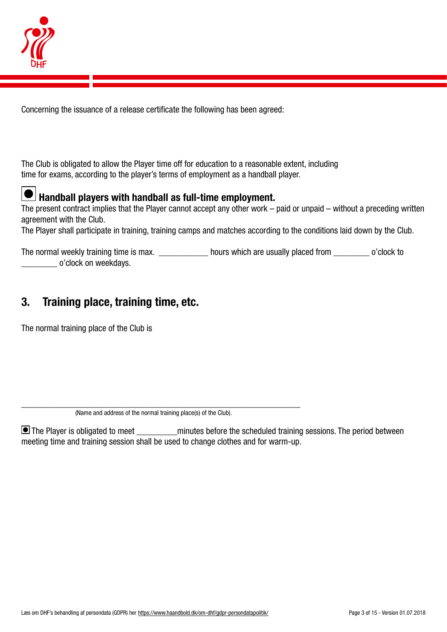

Concerning the issuance of a release certificate the following has been agreed:

The Club is obligated to allow the Player time off for education to a reasonable extent, including time for exams, according to the player's terms of employment as a handball player.



# $\bullet$  Handball players with handball as full-time employment.

The present contract implies that the Player cannot accept any other work – paid or unpaid – without a preceding written agreement with the Club.

The Player shall participate in training, training camps and matches according to the conditions laid down by the Club.

The normal weekly training time is max. <br>  $\frac{1}{2}$  hours which are usually placed from  $\frac{1}{2}$  o'clock to \_\_\_\_\_\_\_\_ o'clock on weekdays.

# 3. Training place, training time, etc.

The normal training place of the Club is

 $\blacksquare$  The Player is obligated to meet minutes before the scheduled training sessions. The period between meeting time and training session shall be used to change clothes and for warm-up.

\_\_\_\_\_\_\_\_\_\_\_\_\_\_\_\_\_\_\_\_\_\_\_\_\_\_\_\_\_\_\_\_\_\_\_\_\_\_\_\_\_\_\_\_\_\_\_\_\_\_\_\_\_\_\_\_\_\_\_\_\_\_ (Name and address of the normal training place(s) of the Club).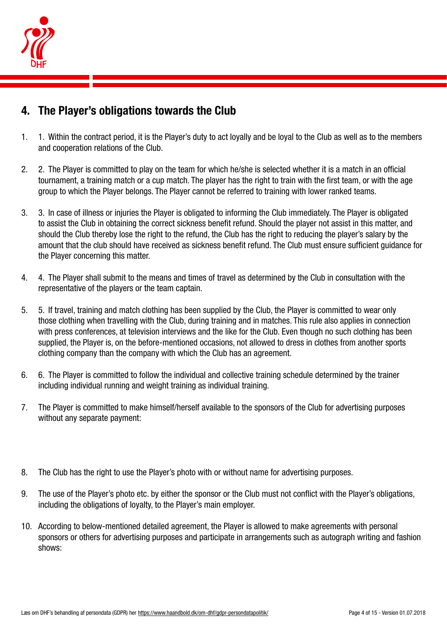

# 4. The Player's obligations towards the Club

- 1. 1. Within the contract period, it is the Player's duty to act loyally and be loyal to the Club as well as to the members and cooperation relations of the Club.
- 2. 2. The Player is committed to play on the team for which he/she is selected whether it is a match in an official tournament, a training match or a cup match. The player has the right to train with the first team, or with the age group to which the Player belongs. The Player cannot be referred to training with lower ranked teams.
- 3. 3. In case of illness or injuries the Player is obligated to informing the Club immediately. The Player is obligated to assist the Club in obtaining the correct sickness benefit refund. Should the player not assist in this matter, and should the Club thereby lose the right to the refund, the Club has the right to reducing the player's salary by the amount that the club should have received as sickness benefit refund. The Club must ensure sufficient guidance for the Player concerning this matter.
- 4. 4. The Player shall submit to the means and times of travel as determined by the Club in consultation with the representative of the players or the team captain.
- 5. 5. If travel, training and match clothing has been supplied by the Club, the Player is committed to wear only those clothing when travelling with the Club, during training and in matches. This rule also applies in connection with press conferences, at television interviews and the like for the Club. Even though no such clothing has been supplied, the Player is, on the before-mentioned occasions, not allowed to dress in clothes from another sports clothing company than the company with which the Club has an agreement.
- 6. 6. The Player is committed to follow the individual and collective training schedule determined by the trainer including individual running and weight training as individual training.
- 7. The Player is committed to make himself/herself available to the sponsors of the Club for advertising purposes without any separate payment:
- 8. The Club has the right to use the Player's photo with or without name for advertising purposes.
- 9. The use of the Player's photo etc. by either the sponsor or the Club must not conflict with the Player's obligations, including the obligations of loyalty, to the Player's main employer.
- 10. According to below-mentioned detailed agreement, the Player is allowed to make agreements with personal sponsors or others for advertising purposes and participate in arrangements such as autograph writing and fashion shows: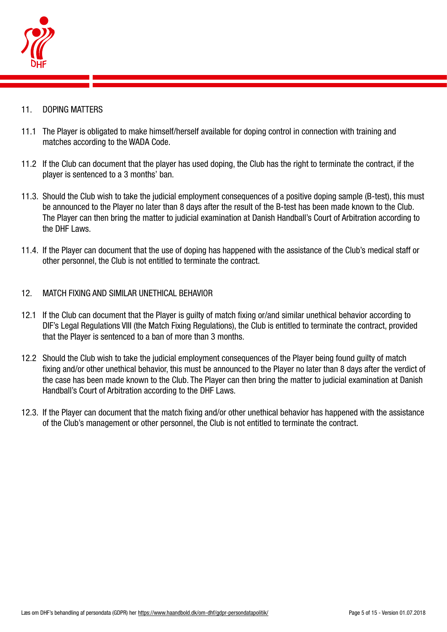

- 11. DOPING MATTERS
- 11.1 The Player is obligated to make himself/herself available for doping control in connection with training and matches according to the WADA Code.
- 11.2 If the Club can document that the player has used doping, the Club has the right to terminate the contract, if the player is sentenced to a 3 months' ban.
- 11.3. Should the Club wish to take the judicial employment consequences of a positive doping sample (B-test), this must be announced to the Player no later than 8 days after the result of the B-test has been made known to the Club. The Player can then bring the matter to judicial examination at Danish Handball's Court of Arbitration according to the DHF Laws.
- 11.4. If the Player can document that the use of doping has happened with the assistance of the Club's medical staff or other personnel, the Club is not entitled to terminate the contract.
- 12. MATCH FIXING AND SIMILAR UNETHICAL BEHAVIOR
- 12.1 If the Club can document that the Player is guilty of match fixing or/and similar unethical behavior according to DIF's Legal Regulations VIII (the Match Fixing Regulations), the Club is entitled to terminate the contract, provided that the Player is sentenced to a ban of more than 3 months.
- 12.2 Should the Club wish to take the judicial employment consequences of the Player being found guilty of match fixing and/or other unethical behavior, this must be announced to the Player no later than 8 days after the verdict of the case has been made known to the Club. The Player can then bring the matter to judicial examination at Danish Handball's Court of Arbitration according to the DHF Laws.
- 12.3. If the Player can document that the match fixing and/or other unethical behavior has happened with the assistance of the Club's management or other personnel, the Club is not entitled to terminate the contract.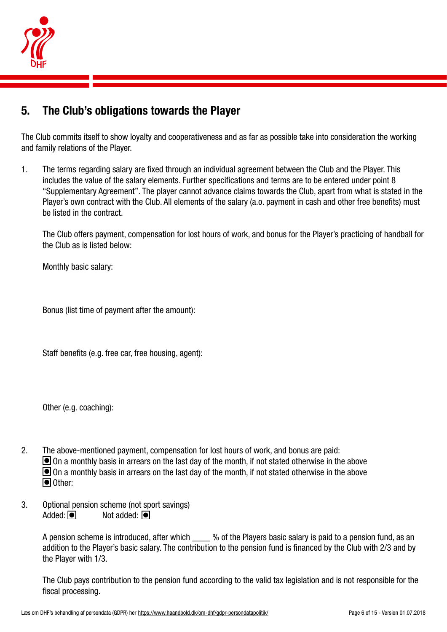

# 5. The Club's obligations towards the Player

The Club commits itself to show loyalty and cooperativeness and as far as possible take into consideration the working and family relations of the Player.

1. The terms regarding salary are fixed through an individual agreement between the Club and the Player. This includes the value of the salary elements. Further specifications and terms are to be entered under point 8 "Supplementary Agreement". The player cannot advance claims towards the Club, apart from what is stated in the Player's own contract with the Club. All elements of the salary (a.o. payment in cash and other free benefits) must be listed in the contract.

The Club offers payment, compensation for lost hours of work, and bonus for the Player's practicing of handball for the Club as is listed below:

Monthly basic salary:

Bonus (list time of payment after the amount):

Staff benefits (e.g. free car, free housing, agent):

Other (e.g. coaching):

- 2. The above-mentioned payment, compensation for lost hours of work, and bonus are paid:  $\Box$  On a monthly basis in arrears on the last day of the month, if not stated otherwise in the above  $\Box$  On a monthly basis in arrears on the last day of the month, if not stated otherwise in the above Other:
- 3. Optional pension scheme (not sport savings) Added:  $\overline{\bullet}$  Not added:  $\overline{\bullet}$

A pension scheme is introduced, after which  $\frac{1}{2}$  % of the Players basic salary is paid to a pension fund, as an addition to the Player's basic salary. The contribution to the pension fund is financed by the Club with 2/3 and by the Player with 1/3.

The Club pays contribution to the pension fund according to the valid tax legislation and is not responsible for the fiscal processing.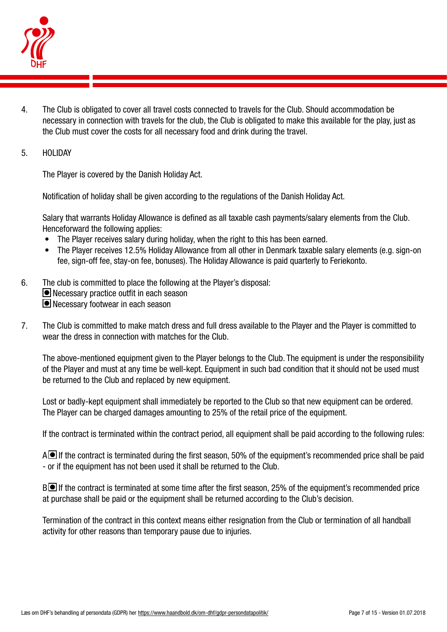

4. The Club is obligated to cover all travel costs connected to travels for the Club. Should accommodation be necessary in connection with travels for the club, the Club is obligated to make this available for the play, just as the Club must cover the costs for all necessary food and drink during the travel.

#### 5. HOLIDAY

The Player is covered by the Danish Holiday Act.

Notification of holiday shall be given according to the regulations of the Danish Holiday Act.

Salary that warrants Holiday Allowance is defined as all taxable cash payments/salary elements from the Club. Henceforward the following applies:

- The Player receives salary during holiday, when the right to this has been earned.
- The Player receives 12.5% Holiday Allowance from all other in Denmark taxable salary elements (e.g. sign-on fee, sign-off fee, stay-on fee, bonuses). The Holiday Allowance is paid quarterly to Feriekonto.
- 6. The club is committed to place the following at the Player's disposal: ■ Necessary practice outfit in each season Necessary footwear in each season
- 7. The Club is committed to make match dress and full dress available to the Player and the Player is committed to wear the dress in connection with matches for the Club.

The above-mentioned equipment given to the Player belongs to the Club. The equipment is under the responsibility of the Player and must at any time be well-kept. Equipment in such bad condition that it should not be used must be returned to the Club and replaced by new equipment.

Lost or badly-kept equipment shall immediately be reported to the Club so that new equipment can be ordered. The Player can be charged damages amounting to 25% of the retail price of the equipment.

If the contract is terminated within the contract period, all equipment shall be paid according to the following rules:

 $A\blacksquare$  If the contract is terminated during the first season, 50% of the equipment's recommended price shall be paid - or if the equipment has not been used it shall be returned to the Club.

B If the contract is terminated at some time after the first season, 25% of the equipment's recommended price at purchase shall be paid or the equipment shall be returned according to the Club's decision.

Termination of the contract in this context means either resignation from the Club or termination of all handball activity for other reasons than temporary pause due to injuries.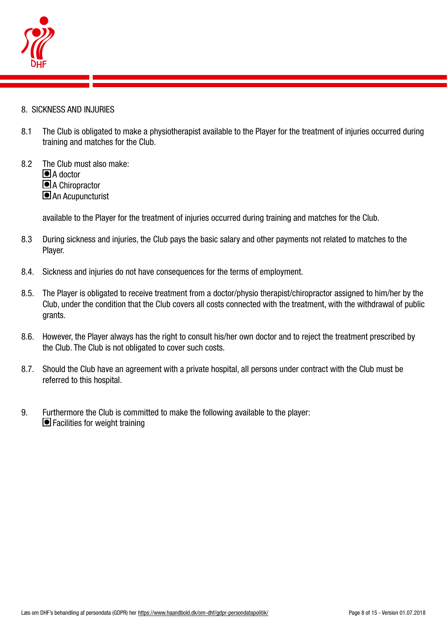

- 8. SICKNESS AND INJURIES
- 8.1 The Club is obligated to make a physiotherapist available to the Player for the treatment of injuries occurred during training and matches for the Club.
- 8.2 The Club must also make: ■A doctor A Chiropractor An Acupuncturist

available to the Player for the treatment of injuries occurred during training and matches for the Club.

- 8.3 During sickness and injuries, the Club pays the basic salary and other payments not related to matches to the Player.
- 8.4. Sickness and injuries do not have consequences for the terms of employment.
- 8.5. The Player is obligated to receive treatment from a doctor/physio therapist/chiropractor assigned to him/her by the Club, under the condition that the Club covers all costs connected with the treatment, with the withdrawal of public grants.
- 8.6. However, the Player always has the right to consult his/her own doctor and to reject the treatment prescribed by the Club. The Club is not obligated to cover such costs.
- 8.7. Should the Club have an agreement with a private hospital, all persons under contract with the Club must be referred to this hospital.
- 9. Furthermore the Club is committed to make the following available to the player: ■ Facilities for weight training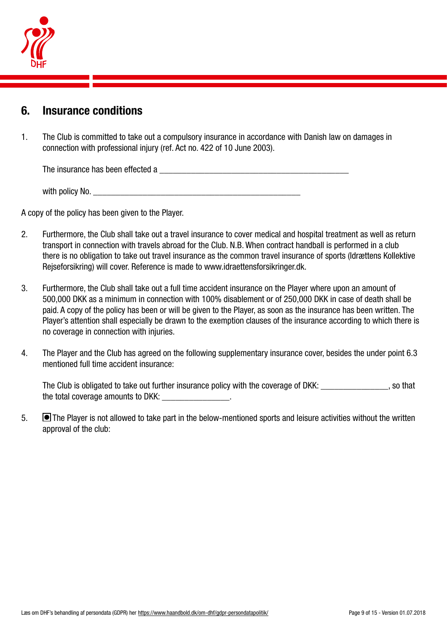

### 6. Insurance conditions

1. The Club is committed to take out a compulsory insurance in accordance with Danish law on damages in connection with professional injury (ref. Act no. 422 of 10 June 2003).

The insurance has been effected a **EXECUTE 10** and the insurance has been effected a

with policy No.

A copy of the policy has been given to the Player.

- 2. Furthermore, the Club shall take out a travel insurance to cover medical and hospital treatment as well as return transport in connection with travels abroad for the Club. N.B. When contract handball is performed in a club there is no obligation to take out travel insurance as the common travel insurance of sports (Idrættens Kollektive Rejseforsikring) will cover. Reference is made to www.idraettensforsikringer.dk.
- 3. Furthermore, the Club shall take out a full time accident insurance on the Player where upon an amount of 500,000 DKK as a minimum in connection with 100% disablement or of 250,000 DKK in case of death shall be paid. A copy of the policy has been or will be given to the Player, as soon as the insurance has been written. The Player's attention shall especially be drawn to the exemption clauses of the insurance according to which there is no coverage in connection with injuries.
- 4. The Player and the Club has agreed on the following supplementary insurance cover, besides the under point 6.3 mentioned full time accident insurance:

The Club is obligated to take out further insurance policy with the coverage of DKK: surface that is not hat the total coverage amounts to DKK: \_\_\_\_\_\_\_\_\_\_\_\_\_\_\_.

5. **The Player is not allowed to take part in the below-mentioned sports and leisure activities without the written** approval of the club: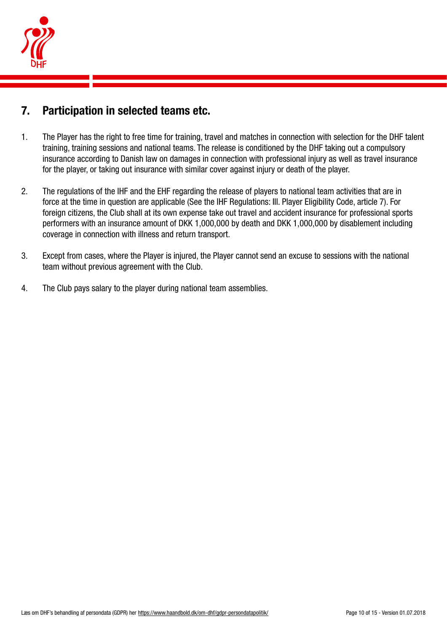

# 7. Participation in selected teams etc.

- 1. The Player has the right to free time for training, travel and matches in connection with selection for the DHF talent training, training sessions and national teams. The release is conditioned by the DHF taking out a compulsory insurance according to Danish law on damages in connection with professional injury as well as travel insurance for the player, or taking out insurance with similar cover against injury or death of the player.
- 2. The regulations of the IHF and the EHF regarding the release of players to national team activities that are in force at the time in question are applicable (See the IHF Regulations: III. Player Eligibility Code, article 7). For foreign citizens, the Club shall at its own expense take out travel and accident insurance for professional sports performers with an insurance amount of DKK 1,000,000 by death and DKK 1,000,000 by disablement including coverage in connection with illness and return transport.
- 3. Except from cases, where the Player is injured, the Player cannot send an excuse to sessions with the national team without previous agreement with the Club.
- 4. The Club pays salary to the player during national team assemblies.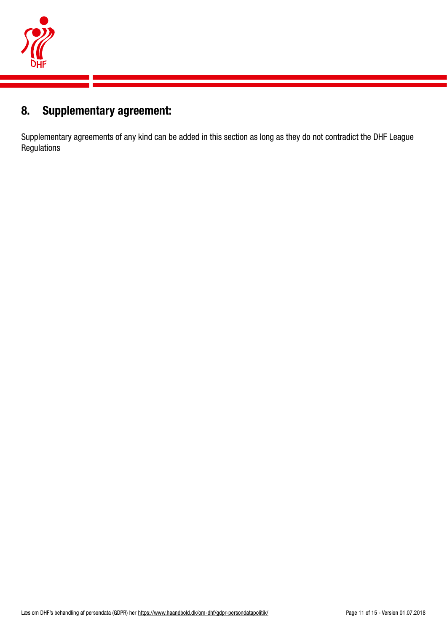

# 8. Supplementary agreement:

Supplementary agreements of any kind can be added in this section as long as they do not contradict the DHF League Regulations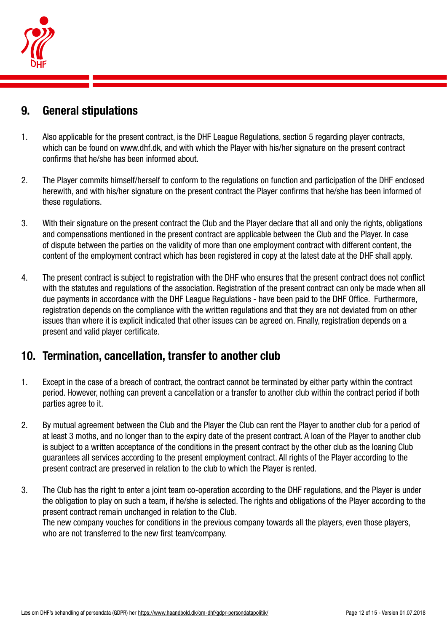

# 9. General stipulations

- 1. Also applicable for the present contract, is the DHF League Regulations, section 5 regarding player contracts, which can be found on www.dhf.dk, and with which the Player with his/her signature on the present contract confirms that he/she has been informed about.
- 2. The Player commits himself/herself to conform to the regulations on function and participation of the DHF enclosed herewith, and with his/her signature on the present contract the Player confirms that he/she has been informed of these regulations.
- 3. With their signature on the present contract the Club and the Player declare that all and only the rights, obligations and compensations mentioned in the present contract are applicable between the Club and the Player. In case of dispute between the parties on the validity of more than one employment contract with different content, the content of the employment contract which has been registered in copy at the latest date at the DHF shall apply.
- 4. The present contract is subject to registration with the DHF who ensures that the present contract does not conflict with the statutes and regulations of the association. Registration of the present contract can only be made when all due payments in accordance with the DHF League Regulations - have been paid to the DHF Office. Furthermore, registration depends on the compliance with the written regulations and that they are not deviated from on other issues than where it is explicit indicated that other issues can be agreed on. Finally, registration depends on a present and valid player certificate.

# 10. Termination, cancellation, transfer to another club

- 1. Except in the case of a breach of contract, the contract cannot be terminated by either party within the contract period. However, nothing can prevent a cancellation or a transfer to another club within the contract period if both parties agree to it.
- 2. By mutual agreement between the Club and the Player the Club can rent the Player to another club for a period of at least 3 moths, and no longer than to the expiry date of the present contract. A loan of the Player to another club is subject to a written acceptance of the conditions in the present contract by the other club as the loaning Club guarantees all services according to the present employment contract. All rights of the Player according to the present contract are preserved in relation to the club to which the Player is rented.
- 3. The Club has the right to enter a joint team co-operation according to the DHF regulations, and the Player is under the obligation to play on such a team, if he/she is selected. The rights and obligations of the Player according to the present contract remain unchanged in relation to the Club. The new company vouches for conditions in the previous company towards all the players, even those players, who are not transferred to the new first team/company.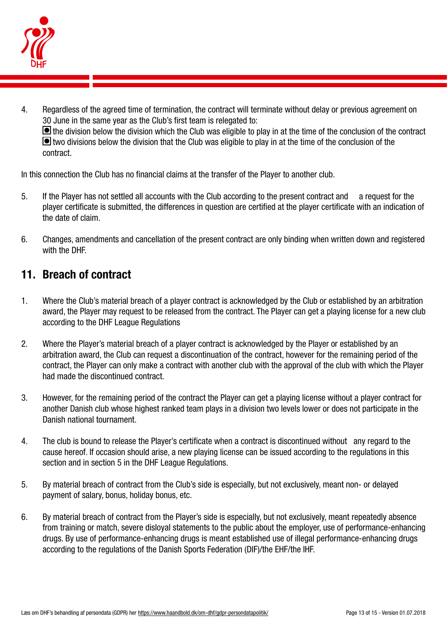

4. Regardless of the agreed time of termination, the contract will terminate without delay or previous agreement on 30 June in the same year as the Club's first team is relegated to:  $\blacksquare$  the division below the division which the Club was eligible to play in at the time of the conclusion of the contract **I** two divisions below the division that the Club was eligible to play in at the time of the conclusion of the contract.

In this connection the Club has no financial claims at the transfer of the Player to another club.

- 5. If the Player has not settled all accounts with the Club according to the present contract and a request for the player certificate is submitted, the differences in question are certified at the player certificate with an indication of the date of claim.
- 6. Changes, amendments and cancellation of the present contract are only binding when written down and registered with the DHF.

# 11. Breach of contract

- 1. Where the Club's material breach of a player contract is acknowledged by the Club or established by an arbitration award, the Player may request to be released from the contract. The Player can get a playing license for a new club according to the DHF League Regulations
- 2. Where the Player's material breach of a player contract is acknowledged by the Player or established by an arbitration award, the Club can request a discontinuation of the contract, however for the remaining period of the contract, the Player can only make a contract with another club with the approval of the club with which the Player had made the discontinued contract.
- 3. However, for the remaining period of the contract the Player can get a playing license without a player contract for another Danish club whose highest ranked team plays in a division two levels lower or does not participate in the Danish national tournament.
- 4. The club is bound to release the Player's certificate when a contract is discontinued without any regard to the cause hereof. If occasion should arise, a new playing license can be issued according to the regulations in this section and in section 5 in the DHF League Regulations.
- 5. By material breach of contract from the Club's side is especially, but not exclusively, meant non- or delayed payment of salary, bonus, holiday bonus, etc.
- 6. By material breach of contract from the Player's side is especially, but not exclusively, meant repeatedly absence from training or match, severe disloyal statements to the public about the employer, use of performance-enhancing drugs. By use of performance-enhancing drugs is meant established use of illegal performance-enhancing drugs according to the regulations of the Danish Sports Federation (DIF)/the EHF/the IHF.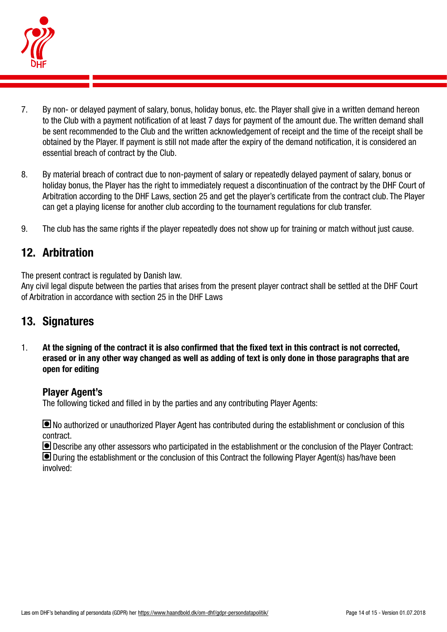

- 7. By non- or delayed payment of salary, bonus, holiday bonus, etc. the Player shall give in a written demand hereon to the Club with a payment notification of at least 7 days for payment of the amount due. The written demand shall be sent recommended to the Club and the written acknowledgement of receipt and the time of the receipt shall be obtained by the Player. If payment is still not made after the expiry of the demand notification, it is considered an essential breach of contract by the Club.
- 8. By material breach of contract due to non-payment of salary or repeatedly delayed payment of salary, bonus or holiday bonus, the Player has the right to immediately request a discontinuation of the contract by the DHF Court of Arbitration according to the DHF Laws, section 25 and get the player's certificate from the contract club. The Player can get a playing license for another club according to the tournament regulations for club transfer.
- 9. The club has the same rights if the player repeatedly does not show up for training or match without just cause.

# 12. Arbitration

The present contract is regulated by Danish law.

Any civil legal dispute between the parties that arises from the present player contract shall be settled at the DHF Court of Arbitration in accordance with section 25 in the DHF Laws

#### 13. Signatures

1. At the signing of the contract it is also confirmed that the fixed text in this contract is not corrected, erased or in any other way changed as well as adding of text is only done in those paragraphs that are open for editing

#### Player Agent's

The following ticked and filled in by the parties and any contributing Player Agents:

 No authorized or unauthorized Player Agent has contributed during the establishment or conclusion of this contract.

Describe any other assessors who participated in the establishment or the conclusion of the Player Contract:

 During the establishment or the conclusion of this Contract the following Player Agent(s) has/have been involved: